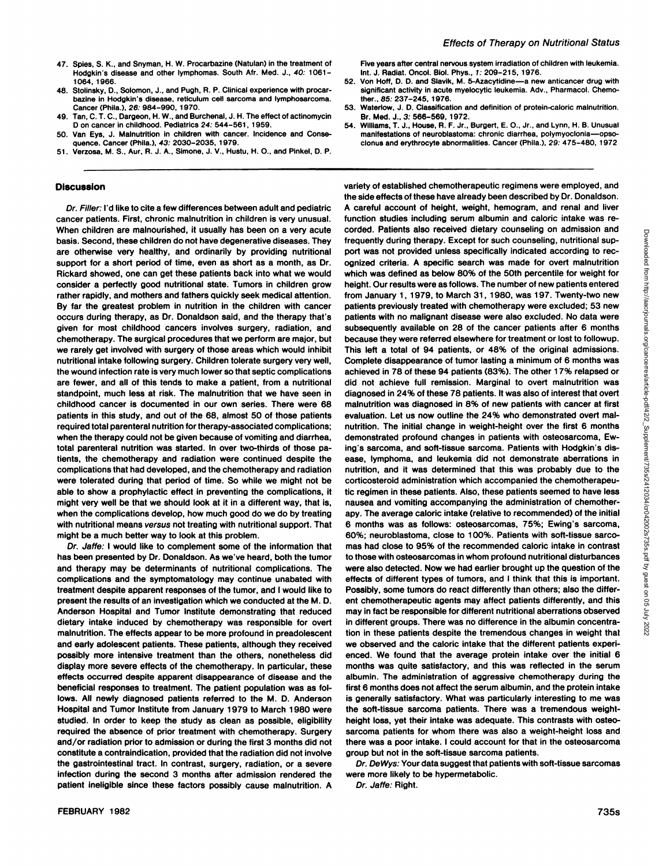- 48. Stolinsky, D., Solomon, J., and Pugh, R. P. Clinical experience with procarbazine in Hodgkin's disease, reticulum cell sarcoma and lymphosarcoma. Cancer (Phila.), 26. 984-990, 1970.
- 49. Tan.C.T. C., Dargeon, H. W., and Burchenal, J. H. The effect of actinomycin D on cancer in childhood. Pediatrics 24: 544-561, 1959.
- 50. Van Eys, J. Malnutrition in children with cancer. Incidence and Conse quence. Cancer (Phila.). 43: 2030-2035, 1979.
- 51. Verzosa, M. S., Aur. R. J. A., Simone, J. V., Hustu, H. O., and Pinkel, D. P.

## **Discussion**

Dr. Filler: I'd like to cite a few differences between adult and pediatrie cancer patients. First, chronic malnutrition in children is very unusual. When children are malnourished, it usually has been on a very acute basis. Second, these children do not have degenerative diseases. They are otherwise very healthy, and ordinarily by providing nutritional support for a short period of time, even as short as a month, as Dr. Rickard showed, one can get these patients back into what we would consider a perfectly good nutritional state. Tumors in children grow rather rapidly, and mothers and fathers quickly seek medical attention. By far the greatest problem in nutrition in the children with cancer occurs during therapy, as Dr. Donaldson said, and the therapy that's given for most childhood cancers involves surgery, radiation, and chemotherapy. The surgical procedures that we perform are major, but we rarely get involved with surgery of those areas which would inhibit nutritional intake following surgery. Children tolerate surgery very well, are fewer, and all of this tends to make a patient, from a nutritional standpoint, much less at risk. The malnutrition that we have seen in childhood cancer is documented in our own series. There were 68 patients in this study, and out of the 68, almost 50 of those patients required total parenteral nutrition for therapy-associated complications; when the therapy could not be given because of vomiting and diarrhea, total parenteral nutrition was started. In over two-thirds of those pa tients, the chemotherapy and radiation were continued despite the complications that had developed, and the chemotherapy and radiation were tolerated during that period of time. So while we might not be able to show a prophylactic effect in preventing the complications, it might very well be that we should look at it in a different way, that is, when the complications develop, how much good do we do by treating with nutritional means versus not treating with nutritional support. That might be a much better way to look at this problem.

Dr. Jaffe: I would like to complement some of the information that has been presented by Dr. Donaldson. As we've heard, both the tumor and therapy may be determinants of nutritional complications. The complications and the symptomatology may continue unabated with treatment despite apparent responses of the tumor, and I would like to present the results of an investigation which we conducted at the M. D. Anderson Hospital and Tumor Institute demonstrating that reduced dietary intake induced by chemotherapy was responsible for overt malnutrition. The effects appear to be more profound in preadolescent and early adolescent patients. These patients, although they received possibly more intensive treatment than the others, nonetheless did display more severe effects of the chemotherapy. In particular, these effects occurred despite apparent disappearance of disease and the beneficial responses to treatment. The patient population was as fol lows. All newly diagnosed patients referred to the M. D. Anderson Hospital and Tumor Institute from January 1979 to March 1980 were studied. In order to keep the study as clean as possible, eligibility required the absence of prior treatment with chemotherapy. Surgery and/or radiation prior to admission or during the first 3 months did not constitute a contraindication, provided that the radiation did not involve the gastrointestinal tract. In contrast, surgery, radiation, or a severe infection during the second 3 months after admission rendered the patient ineligible since these factors possibly cause malnutrition. A

Five years after central nervous system irradiation of children with leukemia. Int. J. Radiat. Oncol. Biol. Phys., 1: 209-215, 1976.

- 52. Von Hoff, D. D. and Slavik, M. 5-Azacytidine—a new anticancer drug with significant activity in acute myelocytic leukemia. Adv., Pharmacol. Chemother. 85. 237-245. 1976.
- 53. Waterlow, J. D. Classification and definition of protein-caloric malnutrition. Br. Med. J., 3. 566-569, 1972.
- 54. Williams, T. J., House, R. F. Jr., Burgert, E. O., Jr., and Lynn, H. B. Unusual manifestations of neuroblastoma: chronic diarrhea, polymyoclonia—opsoclonus and erythrocyte abnormalities. Cancer (Phila.). 29. 475-480. 1972

the wound infection rate is very much lower so that septic complications achieved in 78 of these 94 patients (83%). The other 17% relapsed or variety of established chemotherapeutic regimens were employed, and the side effects of these have already been described by Dr. Donaldson. A careful account of height, weight, hemogram, and renal and liver function studies including serum albumin and caloric intake was re corded. Patients also received dietary counseling on admission and propositional proposition and the dietary of the same in the same in the same of the same that a specifical windictive and the same in the same in the same frequently during therapy. Except for such counseling, nutritional sup port was not provided unless specifically indicated according to rec ognized criteria. A specific search was made for overt malnutrition which was defined as below 80% of the 50th percentile for weight for height. Our results were as follows. The number of new patients entered from January 1, 1979, to March 31, 1980, was 197. Twenty-two new patients previously treated with chemotherapy were excluded; 53 new patients with no malignant disease were also excluded. No data were subsequently available on 28 of the cancer patients after 6 months because they were referred elsewhere for treatment or lost to followup. This left a total of 94 patients, or 48% of the original admissions. Complete disappearance of tumor lasting a minimum of 6 months was did not achieve full remission. Marginal to overt malnutrition was diagnosed in 24% of these 78 patients. It was also of interest that overt malnutrition was diagnosed in 8% of new patients with cancer at first evaluation. Let us now outline the 24% who demonstrated overt malnutrition. The initial change in weight-height over the first 6 months demonstrated profound changes in patients with osteosarcoma, Ewing's sarcoma, and soft-tissue sarcoma. Patients with Hodgkin's dis ease, lymphoma, and leukemia did not demonstrate aberrations in nutrition, and it was determined that this was probably due to the corticosteroid administration which accompanied the chemotherapeu tic regimen in these patients. Also, these patients seemed to have less nausea and vomiting accompanying the administration of chemotherapy. The average caloric intake (relative to recommended) of the initial 6 months was as follows: osteosarcomas, 75%; Ewing's sarcoma, 60%; neuroblastoma, close to 100%. Patients with soft-tissue sarco mas had close to 95% of the recommended caloric intake in contrast to those with osteosarcomas in whom profound nutritional disturbances were also detected. Now we had earlier brought up the question of the effects of different types of tumors, and I think that this is important. Possibly, some tumors do react differently than others; also the differ ent chemotherapeutic agents may affect patients differently, and this may in fact be responsible for different nutritional aberrations observed in different groups. There was no difference in the albumin concentra tion in these patients despite the tremendous changes in weight thai we observed and the caloric intake that the different patients experi enced. We found that the average protein intake over the initial 6 months was quite satisfactory, and this was reflected in the serum albumin. The administration of aggressive chemotherapy during the first 6 months does not affect the serum albumin, and the protein intake is generally satisfactory. What was particularly interesting to me was the soft-tissue sarcoma patients. There was a tremendous weightheight loss, yet their intake was adequate. This contrasts with osteo sarcoma patients for whom there was also a weight-height loss and there was a poor intake. I could account for that in the osteosarcoma group but not in the soft-tissue sarcoma patients.

> Dr. DeWys: Your data suggest that patients with soft-tissue sarcomas were more likely to be hypermetabolic.

Dr. Jaffe: Right.